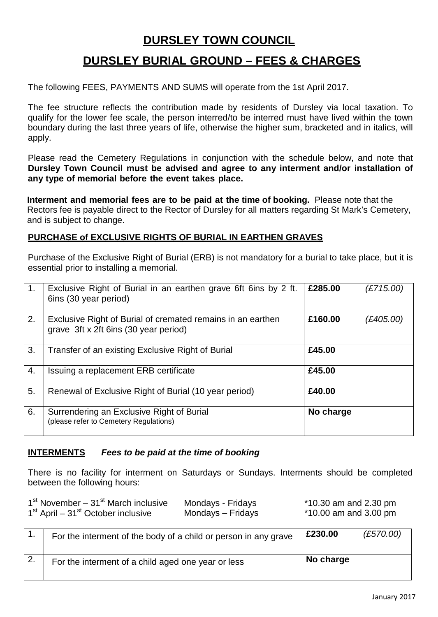# **DURSLEY TOWN COUNCIL**

# **DURSLEY BURIAL GROUND – FEES & CHARGES**

The following FEES, PAYMENTS AND SUMS will operate from the 1st April 2017.

The fee structure reflects the contribution made by residents of Dursley via local taxation. To qualify for the lower fee scale, the person interred/to be interred must have lived within the town boundary during the last three years of life, otherwise the higher sum, bracketed and in italics, will apply.

Please read the Cemetery Regulations in conjunction with the schedule below, and note that **Dursley Town Council must be advised and agree to any interment and/or installation of any type of memorial before the event takes place.** 

**Interment and memorial fees are to be paid at the time of booking.** Please note that the Rectors fee is payable direct to the Rector of Dursley for all matters regarding St Mark's Cemetery, and is subject to change.

#### **PURCHASE of EXCLUSIVE RIGHTS OF BURIAL IN EARTHEN GRAVES**

Purchase of the Exclusive Right of Burial (ERB) is not mandatory for a burial to take place, but it is essential prior to installing a memorial.

| 1. | Exclusive Right of Burial in an earthen grave 6ft 6ins by 2 ft.<br>6ins (30 year period)             | £285.00   | (£715.00) |
|----|------------------------------------------------------------------------------------------------------|-----------|-----------|
| 2. | Exclusive Right of Burial of cremated remains in an earthen<br>grave 3ft x 2ft 6ins (30 year period) | £160.00   | (£405.00) |
| 3. | Transfer of an existing Exclusive Right of Burial                                                    | £45.00    |           |
| 4. | Issuing a replacement ERB certificate                                                                | £45.00    |           |
| 5. | Renewal of Exclusive Right of Burial (10 year period)                                                | £40.00    |           |
| 6. | Surrendering an Exclusive Right of Burial<br>(please refer to Cemetery Regulations)                  | No charge |           |

#### **INTERMENTS** *Fees to be paid at the time of booking*

There is no facility for interment on Saturdays or Sundays. Interments should be completed between the following hours:

| $1st$ November – $31st$ March inclusive          | Mondays - Fridays | $*10.30$ am and 2.30 pm |
|--------------------------------------------------|-------------------|-------------------------|
| $1st$ April – 31 <sup>st</sup> October inclusive | Mondays – Fridays | $*10.00$ am and 3.00 pm |

| For the interment of the body of a child or person in any grave | £230.00   | (E570.00) |
|-----------------------------------------------------------------|-----------|-----------|
| For the interment of a child aged one year or less              | No charge |           |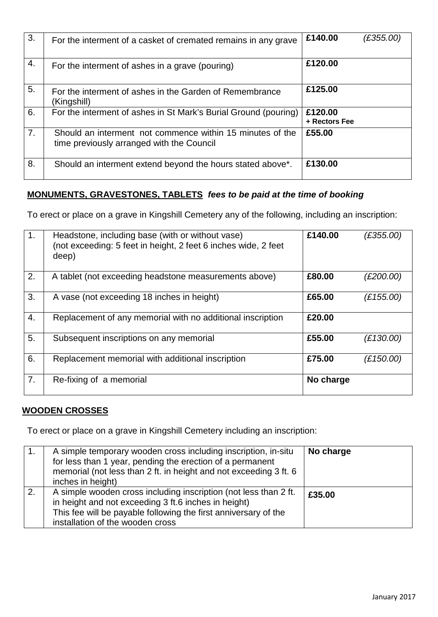| 3. | For the interment of a casket of cremated remains in any grave                                         | £140.00                  | (£355.00) |
|----|--------------------------------------------------------------------------------------------------------|--------------------------|-----------|
| 4. | For the interment of ashes in a grave (pouring)                                                        | £120.00                  |           |
| 5. | For the interment of ashes in the Garden of Remembrance<br>(Kingshill)                                 | £125.00                  |           |
| 6. | For the interment of ashes in St Mark's Burial Ground (pouring)                                        | £120.00<br>+ Rectors Fee |           |
| 7. | Should an interment not commence within 15 minutes of the<br>time previously arranged with the Council | £55.00                   |           |
| 8. | Should an interment extend beyond the hours stated above*.                                             | £130.00                  |           |

### **MONUMENTS, GRAVESTONES, TABLETS** *fees to be paid at the time of booking*

To erect or place on a grave in Kingshill Cemetery any of the following, including an inscription:

| 1. | Headstone, including base (with or without vase)<br>(not exceeding: 5 feet in height, 2 feet 6 inches wide, 2 feet<br>deep) | £140.00   | (E355.00) |
|----|-----------------------------------------------------------------------------------------------------------------------------|-----------|-----------|
| 2. | A tablet (not exceeding headstone measurements above)                                                                       | £80.00    | (£200.00) |
| 3. | A vase (not exceeding 18 inches in height)                                                                                  | £65.00    | (E155.00) |
| 4. | Replacement of any memorial with no additional inscription                                                                  | £20.00    |           |
| 5. | Subsequent inscriptions on any memorial                                                                                     | £55.00    | (E130.00) |
| 6. | Replacement memorial with additional inscription                                                                            | £75.00    | (E150.00) |
| 7. | Re-fixing of a memorial                                                                                                     | No charge |           |

#### **WOODEN CROSSES**

To erect or place on a grave in Kingshill Cemetery including an inscription:

| A simple temporary wooden cross including inscription, in-situ<br>for less than 1 year, pending the erection of a permanent<br>memorial (not less than 2 ft. in height and not exceeding 3 ft. 6<br>inches in height)           | No charge |
|---------------------------------------------------------------------------------------------------------------------------------------------------------------------------------------------------------------------------------|-----------|
| A simple wooden cross including inscription (not less than 2 ft.<br>in height and not exceeding 3 ft.6 inches in height)<br>This fee will be payable following the first anniversary of the<br>installation of the wooden cross | £35.00    |